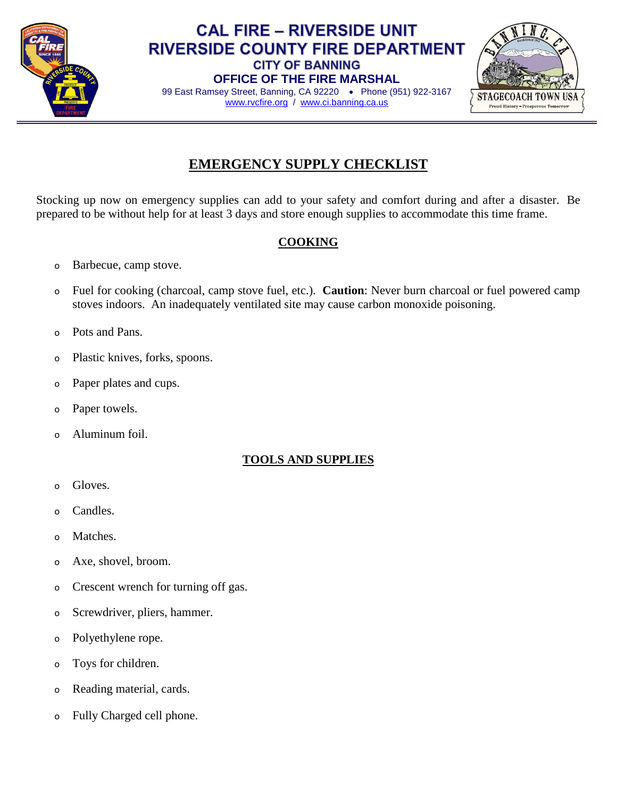

## **CAL FIRE - RIVERSIDE UNIT RIVERSIDE COUNTY FIRE DEPARTMENT CITY OF BANNING OFFICE OF THE FIRE MARSHAL**



99 East Ramsey Street, Banning, CA 92220 . Phone (951) 922-3167 [www.rvcfire.org](http://www.rvcfire.org/) / [www.ci.banning.ca.us](http://www.ci.banning.ca.us/)

# **EMERGENCY SUPPLY CHECKLIST**

Stocking up now on emergency supplies can add to your safety and comfort during and after a disaster. Be prepared to be without help for at least 3 days and store enough supplies to accommodate this time frame.

# **COOKING**

- o Barbecue, camp stove.
- o Fuel for cooking (charcoal, camp stove fuel, etc.). **Caution**: Never burn charcoal or fuel powered camp stoves indoors. An inadequately ventilated site may cause carbon monoxide poisoning.
- o Pots and Pans.
- o Plastic knives, forks, spoons.
- o Paper plates and cups.
- o Paper towels.
- o Aluminum foil.

### **TOOLS AND SUPPLIES**

- o Gloves.
- o Candles.
- o Matches.
- o Axe, shovel, broom.
- o Crescent wrench for turning off gas.
- o Screwdriver, pliers, hammer.
- o Polyethylene rope.
- o Toys for children.
- o Reading material, cards.
- o Fully Charged cell phone.